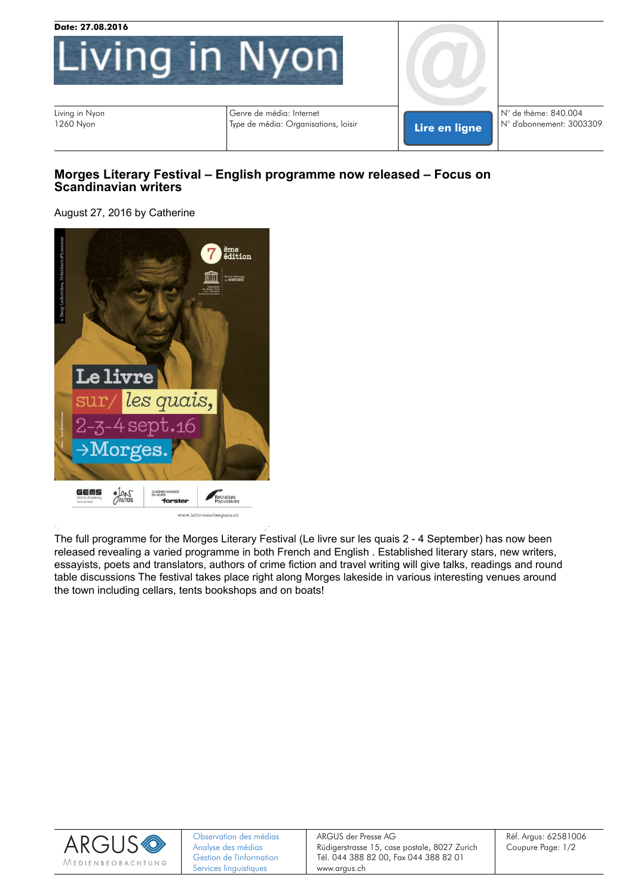



Living in Nyon 1260 Nyon

Genre de média: Internet November 1999 and the média: Internet November 1999 and the média: November 1999 and Type de média: Organisations, loisir  $\|\cdot\|$  ive on linear  $\|\cdot\|^{\circ}$  d'abonnement: 3003309

## **[Morges](http://livinginnyon.com/morges-literary-festival-english-programme-now-released-focus-on-scandinavian-writers/) [Literary](http://livinginnyon.com/morges-literary-festival-english-programme-now-released-focus-on-scandinavian-writers/) [Festival](http://livinginnyon.com/morges-literary-festival-english-programme-now-released-focus-on-scandinavian-writers/) [–](http://livinginnyon.com/morges-literary-festival-english-programme-now-released-focus-on-scandinavian-writers/) [English](http://livinginnyon.com/morges-literary-festival-english-programme-now-released-focus-on-scandinavian-writers/) [programme](http://livinginnyon.com/morges-literary-festival-english-programme-now-released-focus-on-scandinavian-writers/) [now](http://livinginnyon.com/morges-literary-festival-english-programme-now-released-focus-on-scandinavian-writers/) [released](http://livinginnyon.com/morges-literary-festival-english-programme-now-released-focus-on-scandinavian-writers/) [–](http://livinginnyon.com/morges-literary-festival-english-programme-now-released-focus-on-scandinavian-writers/) [Focus](http://livinginnyon.com/morges-literary-festival-english-programme-now-released-focus-on-scandinavian-writers/) [on](http://livinginnyon.com/morges-literary-festival-english-programme-now-released-focus-on-scandinavian-writers/) [Scandinavian](http://livinginnyon.com/morges-literary-festival-english-programme-now-released-focus-on-scandinavian-writers/) [writers](http://livinginnyon.com/morges-literary-festival-english-programme-now-released-focus-on-scandinavian-writers/)**

August 27, 2016 by Catherine



The full programme for the Morges Literary Festival (Le livre sur les quais 2 - 4 September) has now been released revealing a varied programme in both French and English . Established literary stars, new writers, essayists, poets and translators, authors of crime fiction and travel writing will give talks, readings and round table discussions The festival takes place right along Morges lakeside in various interesting venues around the town including cellars, tents bookshops and on boats!